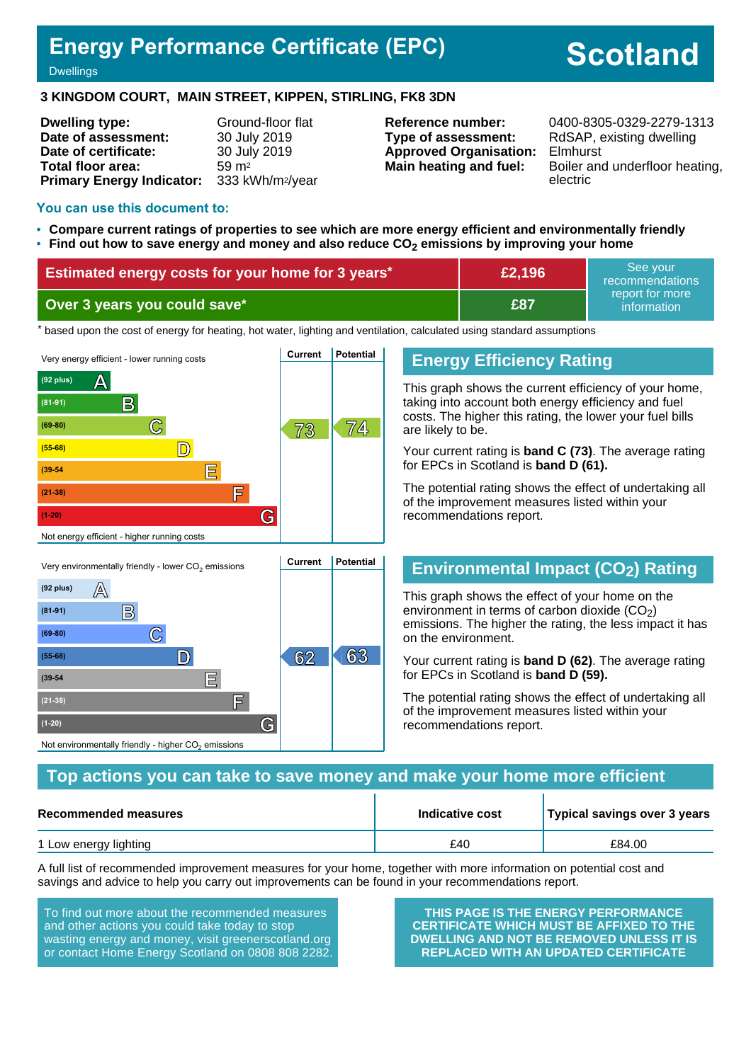# **Energy Performance Certificate (EPC)**

# **Scotland**

#### **Dwellings**

#### **3 KINGDOM COURT, MAIN STREET, KIPPEN, STIRLING, FK8 3DN**

| <b>Dwelling type:</b>            | Ground-floor flat            |
|----------------------------------|------------------------------|
| Date of assessment:              | 30 July 2019                 |
| Date of certificate:             | 30 July 2019                 |
| Total floor area:                | $59 \text{ m}^2$             |
| <b>Primary Energy Indicator:</b> | 333 kWh/m <sup>2</sup> /year |

**Type of assessment:** RdSAP, existing dwelling **Approved Organisation:** Elmhurst

**Reference number:** 0400-8305-0329-2279-1313 **Main heating and fuel:** Boiler and underfloor heating, electric

#### **You can use this document to:**

- **Compare current ratings of properties to see which are more energy efficient and environmentally friendly**
- **Find out how to save energy and money and also reduce CO2 emissions by improving your home**

| Estimated energy costs for your home for 3 years* | £2,196 | See your<br>recommendations    |
|---------------------------------------------------|--------|--------------------------------|
| Over 3 years you could save*                      | £87    | report for more<br>information |

the based upon the cost of energy for heating, hot water, lighting and ventilation, calculated using standard assumptions



**(55-68) D 62 63**

**(39-54 E**

**(21-38) F**

Not environmentally friendly - higher  $\mathrm{CO}_2$  emissions

**(1-20) G**

#### **Energy Efficiency Rating**

This graph shows the current efficiency of your home, taking into account both energy efficiency and fuel costs. The higher this rating, the lower your fuel bills are likely to be.

Your current rating is **band C (73)**. The average rating for EPCs in Scotland is **band D (61).**

The potential rating shows the effect of undertaking all of the improvement measures listed within your recommendations report.

#### **Environmental Impact (CO2) Rating**

This graph shows the effect of your home on the environment in terms of carbon dioxide  $(CO<sub>2</sub>)$ emissions. The higher the rating, the less impact it has on the environment.

Your current rating is **band D (62)**. The average rating for EPCs in Scotland is **band D (59).**

The potential rating shows the effect of undertaking all of the improvement measures listed within your recommendations report.

#### **Top actions you can take to save money and make your home more efficient**

| Recommended measures  | Indicative cost | Typical savings over 3 years |  |
|-----------------------|-----------------|------------------------------|--|
| 1 Low energy lighting | £40             | £84.00                       |  |

A full list of recommended improvement measures for your home, together with more information on potential cost and savings and advice to help you carry out improvements can be found in your recommendations report.

To find out more about the recommended measures and other actions you could take today to stop wasting energy and money, visit greenerscotland.org or contact Home Energy Scotland on 0808 808 2282.

**THIS PAGE IS THE ENERGY PERFORMANCE CERTIFICATE WHICH MUST BE AFFIXED TO THE DWELLING AND NOT BE REMOVED UNLESS IT IS REPLACED WITH AN UPDATED CERTIFICATE**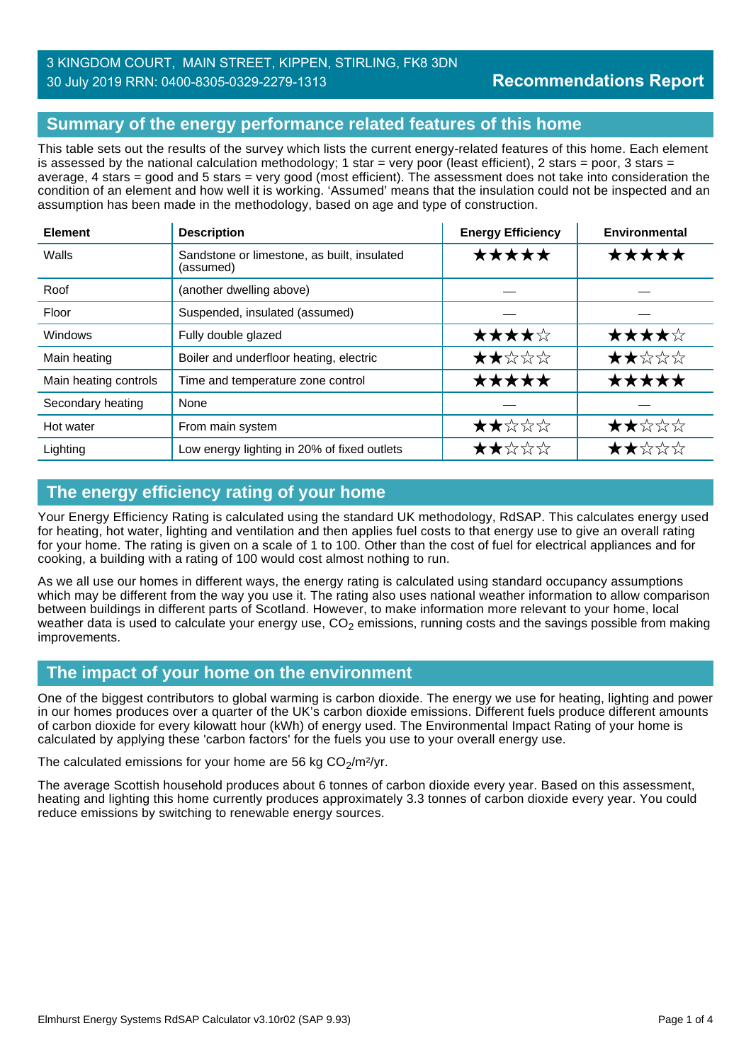## 3 KINGDOM COURT, MAIN STREET, KIPPEN, STIRLING, FK8 3DN 30 July 2019 RRN: 0400-8305-0329-2279-1313

# **Summary of the energy performance related features of this home**

This table sets out the results of the survey which lists the current energy-related features of this home. Each element is assessed by the national calculation methodology; 1 star = very poor (least efficient), 2 stars = poor, 3 stars = average, 4 stars = good and 5 stars = very good (most efficient). The assessment does not take into consideration the condition of an element and how well it is working. 'Assumed' means that the insulation could not be inspected and an assumption has been made in the methodology, based on age and type of construction.

| <b>Element</b>        | <b>Description</b>                                       | <b>Energy Efficiency</b> | Environmental |
|-----------------------|----------------------------------------------------------|--------------------------|---------------|
| Walls                 | Sandstone or limestone, as built, insulated<br>(assumed) | *****                    | *****         |
| Roof                  | (another dwelling above)                                 |                          |               |
| Floor                 | Suspended, insulated (assumed)                           |                          |               |
| Windows               | Fully double glazed                                      | ★★★★☆                    | ★★★★☆         |
| Main heating          | Boiler and underfloor heating, electric                  | ★★☆☆☆                    | ★★☆☆☆         |
| Main heating controls | Time and temperature zone control                        | *****                    | *****         |
| Secondary heating     | None                                                     |                          |               |
| Hot water             | From main system                                         | ★★☆☆☆                    | ★★☆☆☆         |
| Lighting              | Low energy lighting in 20% of fixed outlets              | ★★☆☆☆                    | ★★☆☆☆         |

# **The energy efficiency rating of your home**

Your Energy Efficiency Rating is calculated using the standard UK methodology, RdSAP. This calculates energy used for heating, hot water, lighting and ventilation and then applies fuel costs to that energy use to give an overall rating for your home. The rating is given on a scale of 1 to 100. Other than the cost of fuel for electrical appliances and for cooking, a building with a rating of 100 would cost almost nothing to run.

As we all use our homes in different ways, the energy rating is calculated using standard occupancy assumptions which may be different from the way you use it. The rating also uses national weather information to allow comparison between buildings in different parts of Scotland. However, to make information more relevant to your home, local weather data is used to calculate your energy use,  $CO<sub>2</sub>$  emissions, running costs and the savings possible from making improvements.

#### **The impact of your home on the environment**

One of the biggest contributors to global warming is carbon dioxide. The energy we use for heating, lighting and power in our homes produces over a quarter of the UK's carbon dioxide emissions. Different fuels produce different amounts of carbon dioxide for every kilowatt hour (kWh) of energy used. The Environmental Impact Rating of your home is calculated by applying these 'carbon factors' for the fuels you use to your overall energy use.

The calculated emissions for your home are 56 kg  $CO<sub>2</sub>/m<sup>2</sup>/yr$ .

The average Scottish household produces about 6 tonnes of carbon dioxide every year. Based on this assessment, heating and lighting this home currently produces approximately 3.3 tonnes of carbon dioxide every year. You could reduce emissions by switching to renewable energy sources.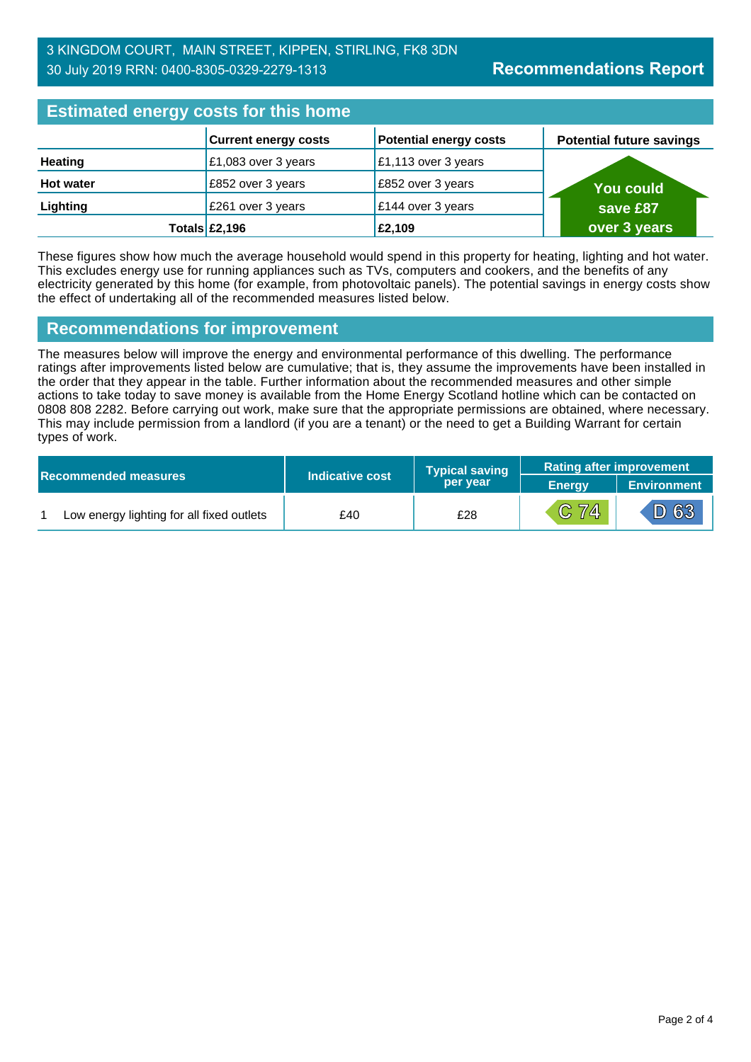| <b>Estimated energy costs for this home</b> |                             |                               |                                 |  |
|---------------------------------------------|-----------------------------|-------------------------------|---------------------------------|--|
|                                             | <b>Current energy costs</b> | <b>Potential energy costs</b> | <b>Potential future savings</b> |  |
| Heating                                     | £1,083 over 3 years         | £1,113 over 3 years           |                                 |  |
| <b>Hot water</b>                            | £852 over 3 years           | £852 over 3 years             | <b>You could</b>                |  |
| Lighting                                    | £261 over 3 years           | £144 over 3 years             | save £87                        |  |
|                                             | Totals $£2,196$             | £2,109                        | over 3 years                    |  |

These figures show how much the average household would spend in this property for heating, lighting and hot water. This excludes energy use for running appliances such as TVs, computers and cookers, and the benefits of any electricity generated by this home (for example, from photovoltaic panels). The potential savings in energy costs show the effect of undertaking all of the recommended measures listed below.

#### **Recommendations for improvement**

The measures below will improve the energy and environmental performance of this dwelling. The performance ratings after improvements listed below are cumulative; that is, they assume the improvements have been installed in the order that they appear in the table. Further information about the recommended measures and other simple actions to take today to save money is available from the Home Energy Scotland hotline which can be contacted on 0808 808 2282. Before carrying out work, make sure that the appropriate permissions are obtained, where necessary. This may include permission from a landlord (if you are a tenant) or the need to get a Building Warrant for certain types of work.

|  |                                           |                 | <b>Typical saving</b> | <b>Rating after improvement</b> |                    |
|--|-------------------------------------------|-----------------|-----------------------|---------------------------------|--------------------|
|  | <b>Recommended measures</b>               | Indicative cost | per year              | <b>Energy</b>                   | <b>Environment</b> |
|  | Low energy lighting for all fixed outlets | £40             | £28                   | C 74                            | $\mathsf{D}63'$    |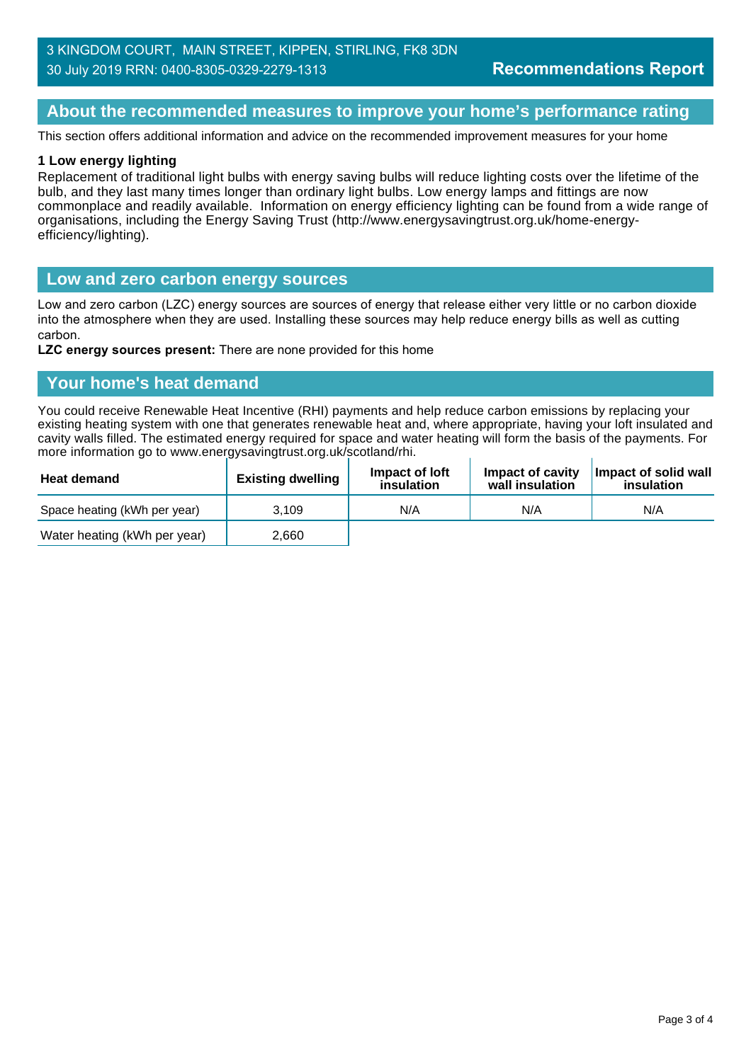#### 3 KINGDOM COURT, MAIN STREET, KIPPEN, STIRLING, FK8 3DN 30 July 2019 RRN: 0400-8305-0329-2279-1313

### **About the recommended measures to improve your home's performance rating**

This section offers additional information and advice on the recommended improvement measures for your home

#### **1 Low energy lighting**

Replacement of traditional light bulbs with energy saving bulbs will reduce lighting costs over the lifetime of the bulb, and they last many times longer than ordinary light bulbs. Low energy lamps and fittings are now commonplace and readily available. Information on energy efficiency lighting can be found from a wide range of organisations, including the Energy Saving Trust (http://www.energysavingtrust.org.uk/home-energyefficiency/lighting).

#### **Low and zero carbon energy sources**

Low and zero carbon (LZC) energy sources are sources of energy that release either very little or no carbon dioxide into the atmosphere when they are used. Installing these sources may help reduce energy bills as well as cutting carbon.

**LZC energy sources present:** There are none provided for this home

#### **Your home's heat demand**

You could receive Renewable Heat Incentive (RHI) payments and help reduce carbon emissions by replacing your existing heating system with one that generates renewable heat and, where appropriate, having your loft insulated and cavity walls filled. The estimated energy required for space and water heating will form the basis of the payments. For more information go to www.energysavingtrust.org.uk/scotland/rhi.

| <b>Heat demand</b>           | <b>Existing dwelling</b> | Impact of loft<br>insulation | Impact of cavity<br>wall insulation | Impact of solid wall<br>insulation |
|------------------------------|--------------------------|------------------------------|-------------------------------------|------------------------------------|
| Space heating (kWh per year) | 3.109                    | N/A                          | N/A                                 | N/A                                |
| Water heating (kWh per year) | 2.660                    |                              |                                     |                                    |